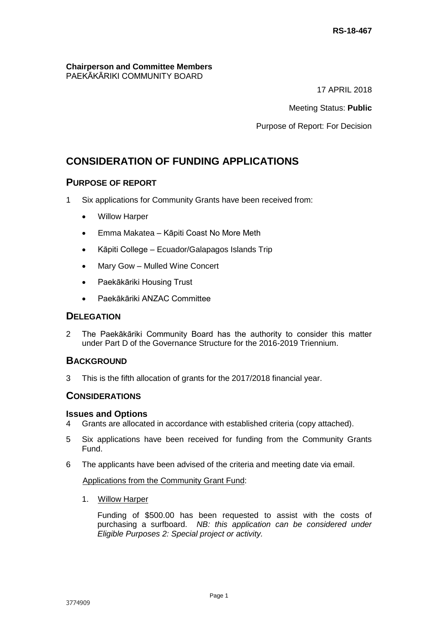#### **Chairperson and Committee Members** PAEKĀKĀRIKI COMMUNITY BOARD

17 APRIL 2018

Meeting Status: **Public**

Purpose of Report: For Decision

# **CONSIDERATION OF FUNDING APPLICATIONS**

## **PURPOSE OF REPORT**

- 1 Six applications for Community Grants have been received from:
	- Willow Harper
	- Emma Makatea Kāpiti Coast No More Meth
	- Kāpiti College Ecuador/Galapagos Islands Trip
	- Mary Gow Mulled Wine Concert
	- Paekākāriki Housing Trust
	- Paekākāriki ANZAC Committee

## **DELEGATION**

2 The Paekākāriki Community Board has the authority to consider this matter under Part D of the Governance Structure for the 2016-2019 Triennium.

## **BACKGROUND**

3 This is the fifth allocation of grants for the 2017/2018 financial year.

## **CONSIDERATIONS**

## **Issues and Options**

- 4 Grants are allocated in accordance with established criteria (copy attached).
- 5 Six applications have been received for funding from the Community Grants Fund.
- 6 The applicants have been advised of the criteria and meeting date via email.

## Applications from the Community Grant Fund:

1. Willow Harper

Funding of \$500.00 has been requested to assist with the costs of purchasing a surfboard. *NB: this application can be considered under Eligible Purposes 2: Special project or activity.*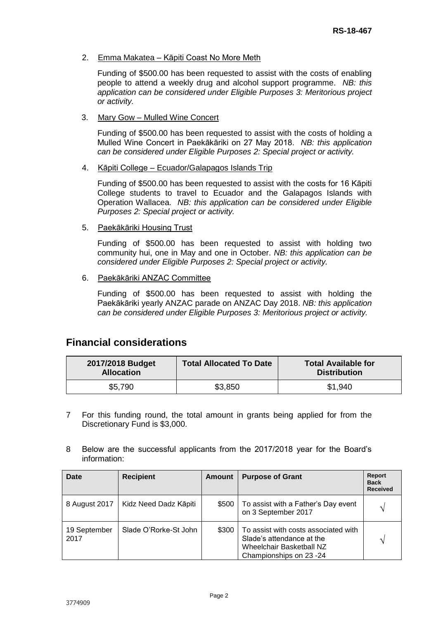#### 2. Emma Makatea - Kāpiti Coast No More Meth

Funding of \$500.00 has been requested to assist with the costs of enabling people to attend a weekly drug and alcohol support programme. *NB: this application can be considered under Eligible Purposes 3: Meritorious project or activity.*

3. Mary Gow – Mulled Wine Concert

Funding of \$500.00 has been requested to assist with the costs of holding a Mulled Wine Concert in Paekākāriki on 27 May 2018. *NB: this application can be considered under Eligible Purposes 2: Special project or activity.*

4. Kāpiti College – Ecuador/Galapagos Islands Trip

Funding of \$500.00 has been requested to assist with the costs for 16 Kāpiti College students to travel to Ecuador and the Galapagos Islands with Operation Wallacea. *NB: this application can be considered under Eligible Purposes 2: Special project or activity.*

5. Paekākāriki Housing Trust

Funding of \$500.00 has been requested to assist with holding two community hui, one in May and one in October. *NB: this application can be considered under Eligible Purposes 2: Special project or activity.*

6. Paekākāriki ANZAC Committee

Funding of \$500.00 has been requested to assist with holding the Paekākāriki yearly ANZAC parade on ANZAC Day 2018. *NB: this application can be considered under Eligible Purposes 3: Meritorious project or activity.*

## **Financial considerations**

| 2017/2018 Budget<br><b>Allocation</b> | <b>Total Allocated To Date</b> | <b>Total Available for</b><br><b>Distribution</b> |
|---------------------------------------|--------------------------------|---------------------------------------------------|
| \$5,790                               | \$3,850                        | \$1,940                                           |

- 7 For this funding round, the total amount in grants being applied for from the Discretionary Fund is \$3,000.
- 8 Below are the successful applicants from the 2017/2018 year for the Board's information:

| Date                 | <b>Recipient</b>      | Amount | <b>Purpose of Grant</b>                                                                                                  | <b>Report</b><br><b>Back</b><br><b>Received</b> |
|----------------------|-----------------------|--------|--------------------------------------------------------------------------------------------------------------------------|-------------------------------------------------|
| 8 August 2017        | Kidz Need Dadz Kāpiti | \$500  | To assist with a Father's Day event<br>on 3 September 2017                                                               | $\gamma$                                        |
| 19 September<br>2017 | Slade O'Rorke-St John | \$300  | To assist with costs associated with<br>Slade's attendance at the<br>Wheelchair Basketball NZ<br>Championships on 23 -24 | ٦                                               |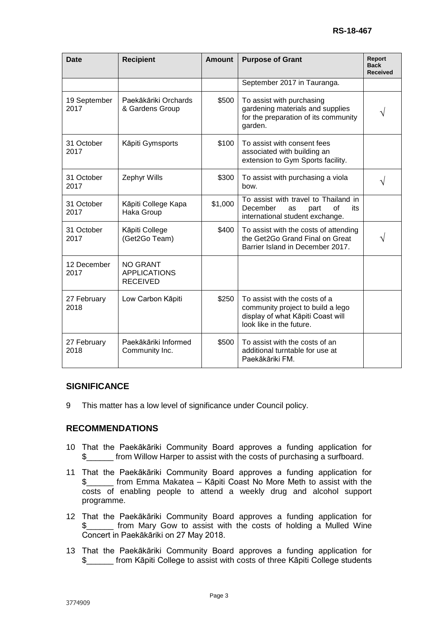| <b>Date</b>          | <b>Recipient</b>                                          | <b>Amount</b> | <b>Purpose of Grant</b>                                                                                                             | Report<br><b>Back</b><br><b>Received</b> |
|----------------------|-----------------------------------------------------------|---------------|-------------------------------------------------------------------------------------------------------------------------------------|------------------------------------------|
|                      |                                                           |               | September 2017 in Tauranga.                                                                                                         |                                          |
| 19 September<br>2017 | Paekākāriki Orchards<br>& Gardens Group                   | \$500         | To assist with purchasing<br>gardening materials and supplies<br>for the preparation of its community<br>garden.                    |                                          |
| 31 October<br>2017   | Kāpiti Gymsports                                          | \$100         | To assist with consent fees<br>associated with building an<br>extension to Gym Sports facility.                                     |                                          |
| 31 October<br>2017   | Zephyr Wills                                              | \$300         | To assist with purchasing a viola<br>bow.                                                                                           |                                          |
| 31 October<br>2017   | Kāpiti College Kapa<br>Haka Group                         | \$1,000       | To assist with travel to Thailand in<br>December<br>of<br>its<br>part<br>as<br>international student exchange.                      |                                          |
| 31 October<br>2017   | Kāpiti College<br>(Get2Go Team)                           | \$400         | To assist with the costs of attending<br>the Get2Go Grand Final on Great<br>Barrier Island in December 2017.                        |                                          |
| 12 December<br>2017  | <b>NO GRANT</b><br><b>APPLICATIONS</b><br><b>RECEIVED</b> |               |                                                                                                                                     |                                          |
| 27 February<br>2018  | Low Carbon Kāpiti                                         | \$250         | To assist with the costs of a<br>community project to build a lego<br>display of what Kāpiti Coast will<br>look like in the future. |                                          |
| 27 February<br>2018  | Paekākāriki Informed<br>Community Inc.                    | \$500         | To assist with the costs of an<br>additional turntable for use at<br>Paekākāriki FM.                                                |                                          |

## **SIGNIFICANCE**

9 This matter has a low level of significance under Council policy.

## **RECOMMENDATIONS**

- 10 That the Paekākāriki Community Board approves a funding application for \$\_\_\_\_\_\_ from Willow Harper to assist with the costs of purchasing a surfboard.
- 11 That the Paekākāriki Community Board approves a funding application for \$\_\_\_\_\_\_ from Emma Makatea – Kāpiti Coast No More Meth to assist with the costs of enabling people to attend a weekly drug and alcohol support programme.
- 12 That the Paekākāriki Community Board approves a funding application for \$\_\_\_\_\_\_ from Mary Gow to assist with the costs of holding a Mulled Wine Concert in Paekākāriki on 27 May 2018.
- 13 That the Paekākāriki Community Board approves a funding application for \$\_\_\_\_\_\_ from Kāpiti College to assist with costs of three Kāpiti College students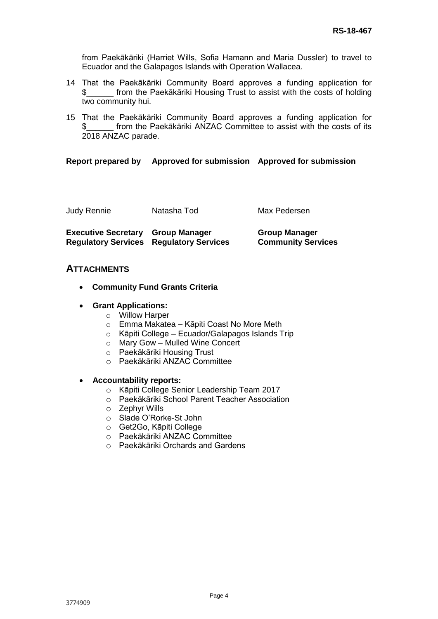from Paekākāriki (Harriet Wills, Sofia Hamann and Maria Dussler) to travel to Ecuador and the Galapagos Islands with Operation Wallacea.

- 14 That the Paekākāriki Community Board approves a funding application for \$\_\_\_\_\_\_ from the Paekākāriki Housing Trust to assist with the costs of holding two community hui.
- 15 That the Paekākāriki Community Board approves a funding application for from the Paekākāriki ANZAC Committee to assist with the costs of its 2018 ANZAC parade.

#### **Report prepared by Approved for submission Approved for submission**

| <b>Judy Rennie</b>                       | Natasha Tod                                    | Max Pedersen                                      |
|------------------------------------------|------------------------------------------------|---------------------------------------------------|
| <b>Executive Secretary Group Manager</b> | <b>Regulatory Services Regulatory Services</b> | <b>Group Manager</b><br><b>Community Services</b> |

## **ATTACHMENTS**

- **Community Fund Grants Criteria**
- **Grant Applications:**
	- o Willow Harper
	- o Emma Makatea Kāpiti Coast No More Meth
	- o Kāpiti College Ecuador/Galapagos Islands Trip
	- o Mary Gow Mulled Wine Concert
	- o Paekākāriki Housing Trust
	- o Paekākāriki ANZAC Committee

#### **Accountability reports:**

- o Kāpiti College Senior Leadership Team 2017
- o Paekākāriki School Parent Teacher Association
- o Zephyr Wills
- o Slade O'Rorke-St John
- o Get2Go, Kāpiti College
- o Paekākāriki ANZAC Committee
- o Paekākāriki Orchards and Gardens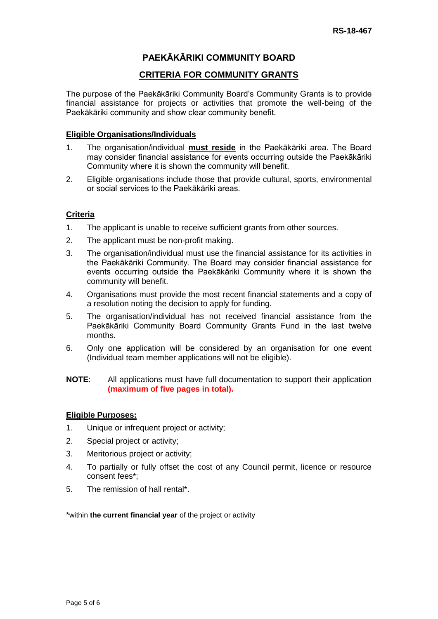## **PAEKĀKĀRIKI COMMUNITY BOARD**

## **CRITERIA FOR COMMUNITY GRANTS**

The purpose of the Paekākāriki Community Board's Community Grants is to provide financial assistance for projects or activities that promote the well-being of the Paekākāriki community and show clear community benefit.

#### **Eligible Organisations/Individuals**

- 1. The organisation/individual **must reside** in the Paekākāriki area. The Board may consider financial assistance for events occurring outside the Paekākāriki Community where it is shown the community will benefit.
- 2. Eligible organisations include those that provide cultural, sports, environmental or social services to the Paekākāriki areas.

## **Criteria**

- 1. The applicant is unable to receive sufficient grants from other sources.
- 2. The applicant must be non-profit making.
- 3. The organisation/individual must use the financial assistance for its activities in the Paekākāriki Community. The Board may consider financial assistance for events occurring outside the Paekākāriki Community where it is shown the community will benefit.
- 4. Organisations must provide the most recent financial statements and a copy of a resolution noting the decision to apply for funding.
- 5. The organisation/individual has not received financial assistance from the Paekākāriki Community Board Community Grants Fund in the last twelve months.
- 6. Only one application will be considered by an organisation for one event (Individual team member applications will not be eligible).

#### **NOTE**: All applications must have full documentation to support their application **(maximum of five pages in total).**

## **Eligible Purposes:**

- 1. Unique or infrequent project or activity;
- 2. Special project or activity;
- 3. Meritorious project or activity;
- 4. To partially or fully offset the cost of any Council permit, licence or resource consent fees\*;
- 5. The remission of hall rental\*.

\*within **the current financial year** of the project or activity